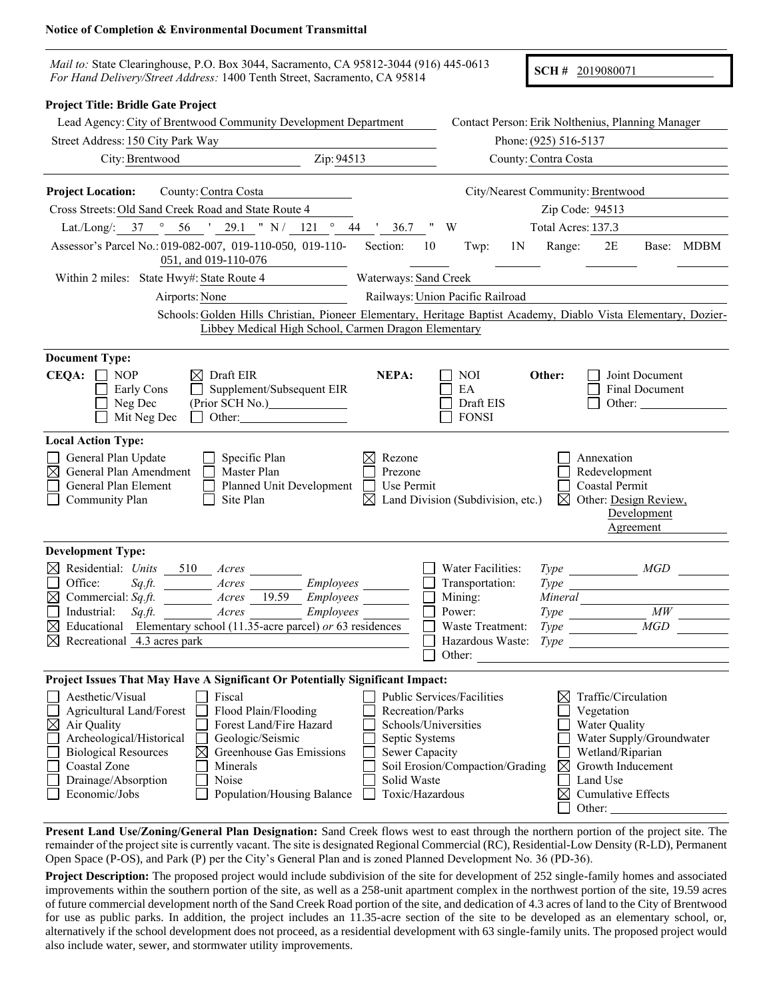## **Notice of Completion & Environmental Document Transmittal**

| Mail to: State Clearinghouse, P.O. Box 3044, Sacramento, CA 95812-3044 (916) 445-0613<br>For Hand Delivery/Street Address: 1400 Tenth Street, Sacramento, CA 95814                                                                                                                                                                                                           |                                                                                                                |                                                                                                             |                                             | SCH # 2019080071                                                                                                                        |                                                                |  |
|------------------------------------------------------------------------------------------------------------------------------------------------------------------------------------------------------------------------------------------------------------------------------------------------------------------------------------------------------------------------------|----------------------------------------------------------------------------------------------------------------|-------------------------------------------------------------------------------------------------------------|---------------------------------------------|-----------------------------------------------------------------------------------------------------------------------------------------|----------------------------------------------------------------|--|
| Project Title: Bridle Gate Project<br>Lead Agency: City of Brentwood Community Development Department                                                                                                                                                                                                                                                                        |                                                                                                                | Contact Person: Erik Nolthenius, Planning Manager                                                           |                                             |                                                                                                                                         |                                                                |  |
| Street Address: 150 City Park Way                                                                                                                                                                                                                                                                                                                                            |                                                                                                                | Phone: (925) 516-5137<br>County: Contra Costa                                                               |                                             |                                                                                                                                         |                                                                |  |
| Zip: 94513<br>City: Brentwood                                                                                                                                                                                                                                                                                                                                                |                                                                                                                |                                                                                                             |                                             |                                                                                                                                         |                                                                |  |
| <b>Project Location:</b><br>County: Contra Costa                                                                                                                                                                                                                                                                                                                             |                                                                                                                |                                                                                                             |                                             | City/Nearest Community: Brentwood                                                                                                       |                                                                |  |
| Cross Streets: Old Sand Creek Road and State Route 4                                                                                                                                                                                                                                                                                                                         |                                                                                                                | Zip Code: 94513                                                                                             |                                             |                                                                                                                                         |                                                                |  |
| Lat./Long/: 37 ° 56 ' 29.1 " N / 121 ° 44 ' 36.7 " W                                                                                                                                                                                                                                                                                                                         |                                                                                                                |                                                                                                             | Total Acres: 137.3                          |                                                                                                                                         |                                                                |  |
| Assessor's Parcel No.: 019-082-007, 019-110-050, 019-110-<br>051, and 019-110-076                                                                                                                                                                                                                                                                                            | Section:<br>10                                                                                                 | Twp:<br>1 <sup>N</sup>                                                                                      | Range:                                      | 2E                                                                                                                                      | Base: MDBM                                                     |  |
| Within 2 miles: State Hwy#: State Route 4                                                                                                                                                                                                                                                                                                                                    | Waterways: Sand Creek                                                                                          |                                                                                                             |                                             |                                                                                                                                         |                                                                |  |
| Airports: None                                                                                                                                                                                                                                                                                                                                                               |                                                                                                                | Railways: Union Pacific Railroad                                                                            |                                             |                                                                                                                                         |                                                                |  |
| Schools: Golden Hills Christian, Pioneer Elementary, Heritage Baptist Academy, Diablo Vista Elementary, Dozier-<br>Libbey Medical High School, Carmen Dragon Elementary                                                                                                                                                                                                      |                                                                                                                |                                                                                                             |                                             |                                                                                                                                         |                                                                |  |
| <b>Document Type:</b><br>CEQA:<br>$\perp$<br><b>NOP</b><br>$\boxtimes$ Draft EIR<br>Supplement/Subsequent EIR<br>Early Cons<br>(Prior SCH No.)_______________<br>Neg Dec<br>Mit Neg Dec<br>Other:                                                                                                                                                                            | NEPA:                                                                                                          | <b>NOI</b><br>EA<br>Draft EIS<br><b>FONSI</b>                                                               | Other:                                      |                                                                                                                                         | Joint Document<br>Final Document<br>Other: $\sqrt{\frac{1}{2}$ |  |
| <b>Local Action Type:</b><br>General Plan Update<br>Specific Plan<br>General Plan Amendment<br>Master Plan<br>General Plan Element<br>Planned Unit Development<br>Community Plan<br>Site Plan                                                                                                                                                                                | Rezone<br>Prezone<br>Use Permit<br>$\boxtimes$                                                                 | Land Division (Subdivision, etc.)                                                                           | $\bowtie$                                   | Annexation<br>Redevelopment<br>Coastal Permit<br>Other: Design Review,<br>Development<br>Agreement                                      |                                                                |  |
| <b>Development Type:</b>                                                                                                                                                                                                                                                                                                                                                     |                                                                                                                |                                                                                                             |                                             |                                                                                                                                         |                                                                |  |
| Residential: Units<br>$\bowtie$<br>510<br>Acres<br>Office:<br>$Sq\mathcal{F}$<br>Employees<br>Acres<br>Commercial: Sq.ft.<br>19.59<br>Employees<br>Acres<br>$Sqft$ .<br>Acres<br>Employees<br>Industrial:<br>Educational Elementary school (11.35-acre parcel) or 63 residences<br>Recreational 4.3 acres park                                                               |                                                                                                                | Water Facilities:<br>Transportation:<br>Mining:<br>Power:<br>Waste Treatment:<br>Hazardous Waste:<br>Other: | Type<br>Mineral<br>$Type \_$<br><i>Type</i> | Type MGD<br>Type                                                                                                                        | $\mathit{MW}$<br>MGD                                           |  |
| Project Issues That May Have A Significant Or Potentially Significant Impact:                                                                                                                                                                                                                                                                                                |                                                                                                                |                                                                                                             |                                             |                                                                                                                                         |                                                                |  |
| Aesthetic/Visual<br>Fiscal<br>Agricultural Land/Forest<br>Flood Plain/Flooding<br>Air Quality<br>Forest Land/Fire Hazard<br>$\boxtimes$<br>Archeological/Historical<br>Geologic/Seismic<br>Greenhouse Gas Emissions<br><b>Biological Resources</b><br>$\boxtimes$<br>Coastal Zone<br>Minerals<br>Drainage/Absorption<br>Noise<br>Economic/Jobs<br>Population/Housing Balance | Recreation/Parks<br>Schools/Universities<br>Septic Systems<br>Sewer Capacity<br>Solid Waste<br>Toxic/Hazardous | Public Services/Facilities<br>Soil Erosion/Compaction/Grading                                               | ⊠<br>$\boxtimes$<br>$\boxtimes$             | Traffic/Circulation<br>Vegetation<br>Water Quality<br>Wetland/Riparian<br>Growth Inducement<br>Land Use<br>Cumulative Effects<br>Other: | Water Supply/Groundwater                                       |  |

**Present Land Use/Zoning/General Plan Designation:** Sand Creek flows west to east through the northern portion of the project site. The remainder of the project site is currently vacant. The site is designated Regional Commercial (RC), Residential-Low Density (R-LD), Permanent Open Space (P-OS), and Park (P) per the City's General Plan and is zoned Planned Development No. 36 (PD-36).

**Project Description:** The proposed project would include subdivision of the site for development of 252 single-family homes and associated improvements within the southern portion of the site, as well as a 258-unit apartment complex in the northwest portion of the site, 19.59 acres of future commercial development north of the Sand Creek Road portion of the site, and dedication of 4.3 acres of land to the City of Brentwood for use as public parks. In addition, the project includes an 11.35-acre section of the site to be developed as an elementary school, or, alternatively if the school development does not proceed, as a residential development with 63 single-family units. The proposed project would also include water, sewer, and stormwater utility improvements.